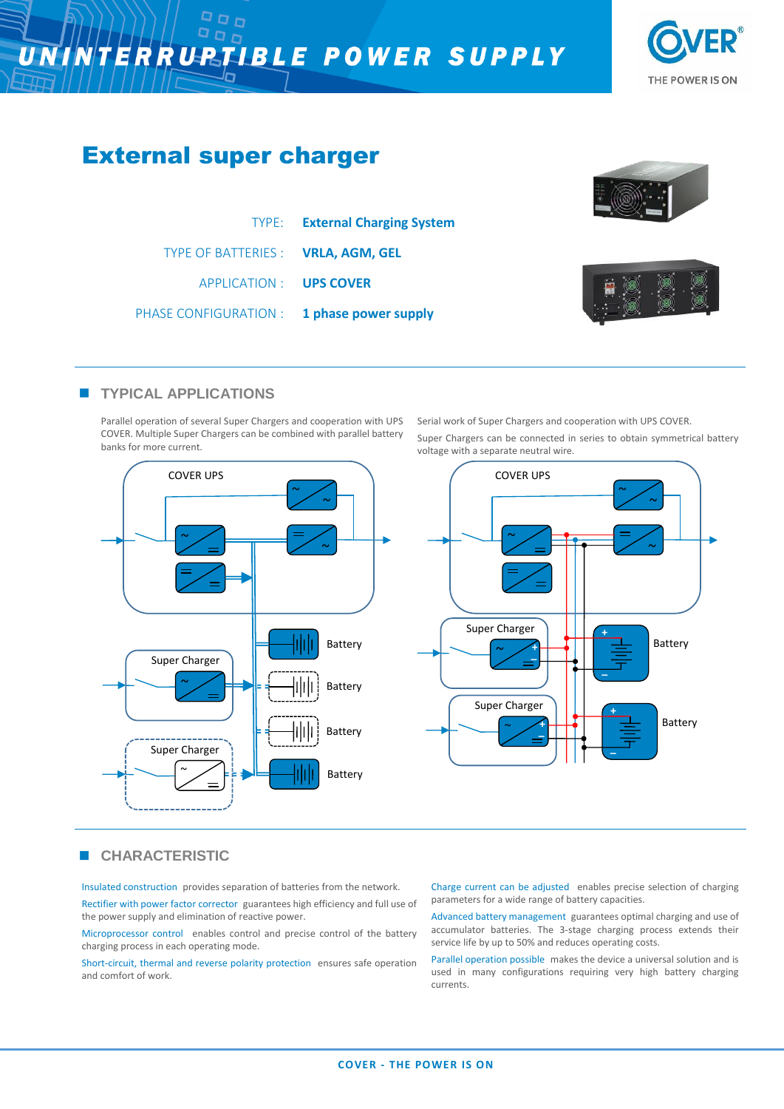## NINTERRUPTIBLE POWER SUPPLY  $\overline{\boldsymbol{U}}$







Insulated construction provides separation of batteries from the network.

Rectifier with power factor corrector guarantees high efficiency and full use of the power supply and elimination of reactive power.

Microprocessor control enables control and precise control of the battery charging process in each operating mode.

Short-circuit, thermal and reverse polarity protection ensures safe operation and comfort of work.

Charge current can be adjusted enables precise selection of charging parameters for a wide range of battery capacities.

Advanced battery management guarantees optimal charging and use of accumulator batteries. The 3-stage charging process extends their service life by up to 50% and reduces operating costs.

Parallel operation possible makes the device a universal solution and is used in many configurations requiring very high battery charging currents.